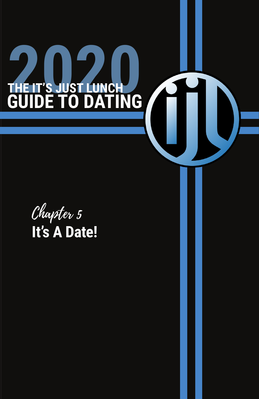## If you're the one who isn't interested, most of all, be kind. Say something nice about them and then end it with "no, thank you." Try not to be overly sensitive to rejection or get overly emotionally invested with the other person to some solid with the other person to makes a rebuild become equal painful. Simply, if  $\alpha$ move on! **2020 CHE IT'S JUST LUNCH CHEATER GUIDE TO DATING**

Chapter 5 **It's A Date!**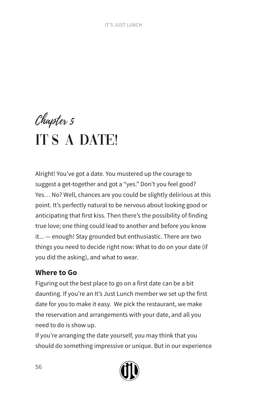# Chapter 5 IT'S A DATE!

Alright! You've got a date. You mustered up the courage to suggest a get-together and got a "yes." Don't you feel good? Yes… No? Well, chances are you could be slightly delirious at this point. It's perfectly natural to be nervous about looking good or anticipating that first kiss. Then there's the possibility of finding true love; one thing could lead to another and before you know it... — enough! Stay grounded but enthusiastic. There are two things you need to decide right now: What to do on your date (if you did the asking), and what to wear.

# **Where to Go**

Figuring out the best place to go on a first date can be a bit daunting. If you're an It's Just Lunch member we set up the first date for you to make it easy. We pick the restaurant, we make the reservation and arrangements with your date, and all you need to do is show up.

If you're arranging the date yourself, you may think that you should do something impressive or unique. But in our experience

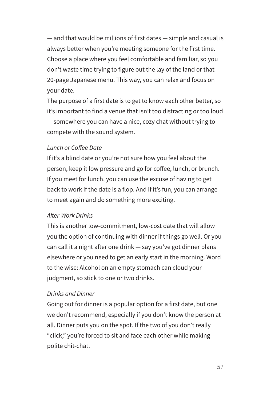— and that would be millions of first dates — simple and casual is always better when you're meeting someone for the first time. Choose a place where you feel comfortable and familiar, so you don't waste time trying to figure out the lay of the land or that 20-page Japanese menu. This way, you can relax and focus on your date.

The purpose of a first date is to get to know each other better, so it's important to find a venue that isn't too distracting or too loud — somewhere you can have a nice, cozy chat without trying to compete with the sound system.

### *Lunch or Coffee Date*

If it's a blind date or you're not sure how you feel about the person, keep it low pressure and go for coffee, lunch, or brunch. If you meet for lunch, you can use the excuse of having to get back to work if the date is a flop. And if it's fun, you can arrange to meet again and do something more exciting.

#### *After-Work Drinks*

This is another low-commitment, low-cost date that will allow you the option of continuing with dinner if things go well. Or you can call it a night after one drink — say you've got dinner plans elsewhere or you need to get an early start in the morning. Word to the wise: Alcohol on an empty stomach can cloud your judgment, so stick to one or two drinks.

### *Drinks and Dinner*

Going out for dinner is a popular option for a first date, but one we don't recommend, especially if you don't know the person at all. Dinner puts you on the spot. If the two of you don't really "click," you're forced to sit and face each other while making polite chit-chat.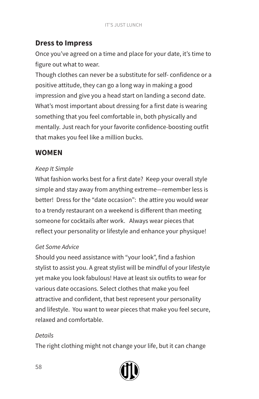# **Dress to Impress**

Once you've agreed on a time and place for your date, it's time to figure out what to wear.

Though clothes can never be a substitute for self- confidence or a positive attitude, they can go a long way in making a good impression and give you a head start on landing a second date. What's most important about dressing for a first date is wearing something that you feel comfortable in, both physically and mentally. Just reach for your favorite confidence-boosting outfit that makes you feel like a million bucks.

# **WOMEN**

## *Keep It Simple*

What fashion works best for a first date? Keep your overall style simple and stay away from anything extreme—remember less is better! Dress for the "date occasion": the attire you would wear to a trendy restaurant on a weekend is different than meeting someone for cocktails after work. Always wear pieces that reflect your personality or lifestyle and enhance your physique!

## *Get Some Advice*

Should you need assistance with "your look", find a fashion stylist to assist you. A great stylist will be mindful of your lifestyle yet make you look fabulous! Have at least six outfits to wear for various date occasions. Select clothes that make you feel attractive and confident, that best represent your personality and lifestyle. You want to wear pieces that make you feel secure, relaxed and comfortable.

### *Details*

The right clothing might not change your life, but it can change

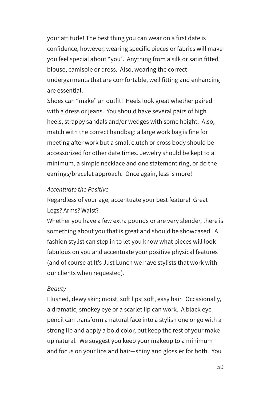your attitude! The best thing you can wear on a first date is confidence, however, wearing specific pieces or fabrics will make you feel special about "you". Anything from a silk or satin fitted blouse, camisole or dress. Also, wearing the correct undergarments that are comfortable, well fitting and enhancing are essential.

Shoes can "make" an outfit! Heels look great whether paired with a dress or jeans. You should have several pairs of high heels, strappy sandals and/or wedges with some height. Also, match with the correct handbag: a large work bag is fine for meeting after work but a small clutch or cross body should be accessorized for other date times. Jewelry should be kept to a minimum, a simple necklace and one statement ring, or do the earrings/bracelet approach. Once again, less is more!

#### *Accentuate the Positive*

Regardless of your age, accentuate your best feature! Great Legs? Arms? Waist?

Whether you have a few extra pounds or are very slender, there is something about you that is great and should be showcased. A fashion stylist can step in to let you know what pieces will look fabulous on you and accentuate your positive physical features (and of course at It's Just Lunch we have stylists that work with our clients when requested).

#### *Beauty*

Flushed, dewy skin; moist, soft lips; soft, easy hair. Occasionally, a dramatic, smokey eye or a scarlet lip can work. A black eye pencil can transform a natural face into a stylish one or go with a strong lip and apply a bold color, but keep the rest of your make up natural. We suggest you keep your makeup to a minimum and focus on your lips and hair—shiny and glossier for both. You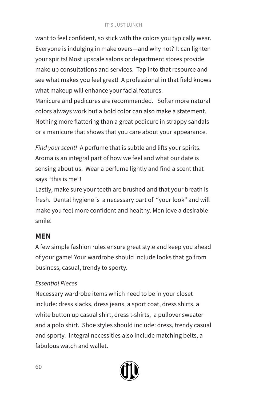#### IT'S JUST LUNCH

want to feel confident, so stick with the colors you typically wear. Everyone is indulging in make overs—and why not? It can lighten your spirits! Most upscale salons or department stores provide make up consultations and services. Tap into that resource and see what makes you feel great! A professional in that field knows what makeup will enhance your facial features.

Manicure and pedicures are recommended. Softer more natural colors always work but a bold color can also make a statement. Nothing more flattering than a great pedicure in strappy sandals or a manicure that shows that you care about your appearance.

*Find your scent!* A perfume that is subtle and lifts your spirits. Aroma is an integral part of how we feel and what our date is sensing about us. Wear a perfume lightly and find a scent that says "this is me"!

Lastly, make sure your teeth are brushed and that your breath is fresh. Dental hygiene is a necessary part of "your look" and will make you feel more confident and healthy. Men love a desirable smile!

# **MEN**

A few simple fashion rules ensure great style and keep you ahead of your game! Your wardrobe should include looks that go from business, casual, trendy to sporty.

# *Essential Pieces*

Necessary wardrobe items which need to be in your closet include: dress slacks, dress jeans, a sport coat, dress shirts, a white button up casual shirt, dress t-shirts, a pullover sweater and a polo shirt. Shoe styles should include: dress, trendy casual and sporty. Integral necessities also include matching belts, a fabulous watch and wallet.